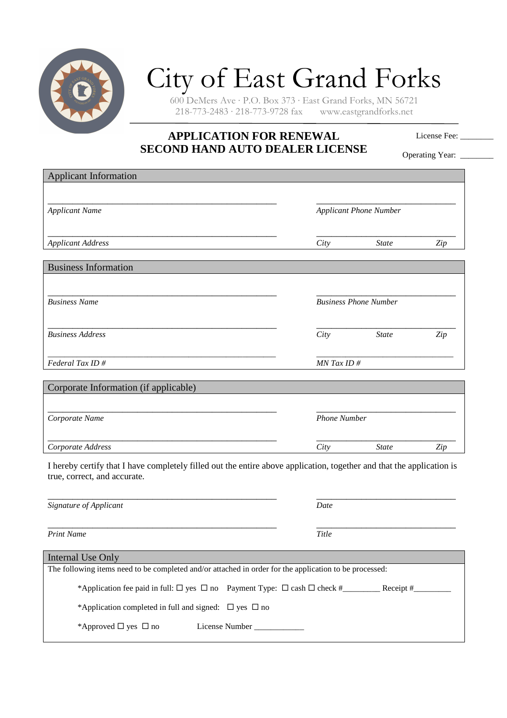

## City of East Grand Forks

600 DeMers Ave · P.O. Box 373 · East Grand Forks, MN 56721  $218-773-2483 \cdot 218-773-9728$  fax

## **APPLICATION FOR RENEWAL SECOND HAND AUTO DEALER LICENSE**

License Fee: \_\_\_\_\_\_\_\_

Operating Year: \_\_\_\_\_\_

| <b>Applicant Information</b>                                                                                                                          |                               |                              |     |
|-------------------------------------------------------------------------------------------------------------------------------------------------------|-------------------------------|------------------------------|-----|
|                                                                                                                                                       |                               |                              |     |
| <b>Applicant Name</b>                                                                                                                                 | <b>Applicant Phone Number</b> |                              |     |
| <b>Applicant Address</b>                                                                                                                              | City                          | <b>State</b>                 | Zip |
| <b>Business Information</b>                                                                                                                           |                               |                              |     |
| <b>Business Name</b>                                                                                                                                  |                               | <b>Business Phone Number</b> |     |
| <b>Business Address</b>                                                                                                                               | City                          | <b>State</b>                 | Zip |
| Federal Tax ID#                                                                                                                                       | $MN$ Tax ID #                 |                              |     |
| Corporate Information (if applicable)                                                                                                                 |                               |                              |     |
|                                                                                                                                                       |                               |                              |     |
| Corporate Name                                                                                                                                        | <b>Phone Number</b>           |                              |     |
| Corporate Address                                                                                                                                     | City                          | <b>State</b>                 | Zip |
| I hereby certify that I have completely filled out the entire above application, together and that the application is<br>true, correct, and accurate. |                               |                              |     |
| Signature of Applicant                                                                                                                                | Date                          |                              |     |
| <b>Print Name</b>                                                                                                                                     | Title                         |                              |     |
| <b>Internal Use Only</b>                                                                                                                              |                               |                              |     |
| The following items need to be completed and/or attached in order for the application to be processed:                                                |                               |                              |     |
|                                                                                                                                                       |                               |                              |     |
| *Application completed in full and signed: $\Box$ yes $\Box$ no                                                                                       |                               |                              |     |

\*Approved yes no License Number \_\_\_\_\_\_\_\_\_\_\_\_